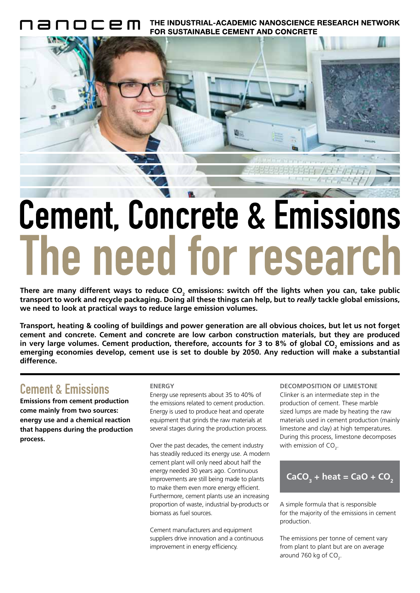THE INDUSTRIAL-ACADEMIC NANOSCIENCE RESEARCH NETWORK **FOR SUSTAINABLE CEMENT AND CONCRETE** 



# Cement, Concrete & Emissions The need for research

There are many different ways to reduce CO<sub>2</sub> emissions: switch off the lights when you can, take public **transport to work and recycle packaging. Doing all these things can help, but to** *really* **tackle global emissions, we need to look at practical ways to reduce large emission volumes.**

**Transport, heating & cooling of buildings and power generation are all obvious choices, but let us not forget cement and concrete. Cement and concrete are low carbon construction materials, but they are produced**  in very large volumes. Cement production, therefore, accounts for 3 to 8% of global CO<sub>2</sub> emissions and as **emerging economies develop, cement use is set to double by 2050. Any reduction will make a substantial difference.**

### Cement & Emissions

**Emissions from cement production come mainly from two sources: energy use and a chemical reaction that happens during the production process.**

#### **ENERGY**

Energy use represents about 35 to 40% of the emissions related to cement production. Energy is used to produce heat and operate equipment that grinds the raw materials at several stages during the production process.

Over the past decades, the cement industry has steadily reduced its energy use. A modern cement plant will only need about half the energy needed 30 years ago. Continuous improvements are still being made to plants to make them even more energy efficient. Furthermore, cement plants use an increasing proportion of waste, industrial by-products or biomass as fuel sources.

Cement manufacturers and equipment suppliers drive innovation and a continuous improvement in energy efficiency.

**DECOMPOSITION OF LIMESTONE** Clinker is an intermediate step in the production of cement. These marble sized lumps are made by heating the raw materials used in cement production (mainly limestone and clay) at high temperatures. During this process, limestone decomposes with emission of CO<sub>2</sub>.

$$
CaCO3 + heat = CaO + CO2
$$

A simple formula that is responsible for the majority of the emissions in cement production.

The emissions per tonne of cement vary from plant to plant but are on average around 760 kg of  $CO<sub>2</sub>$ .